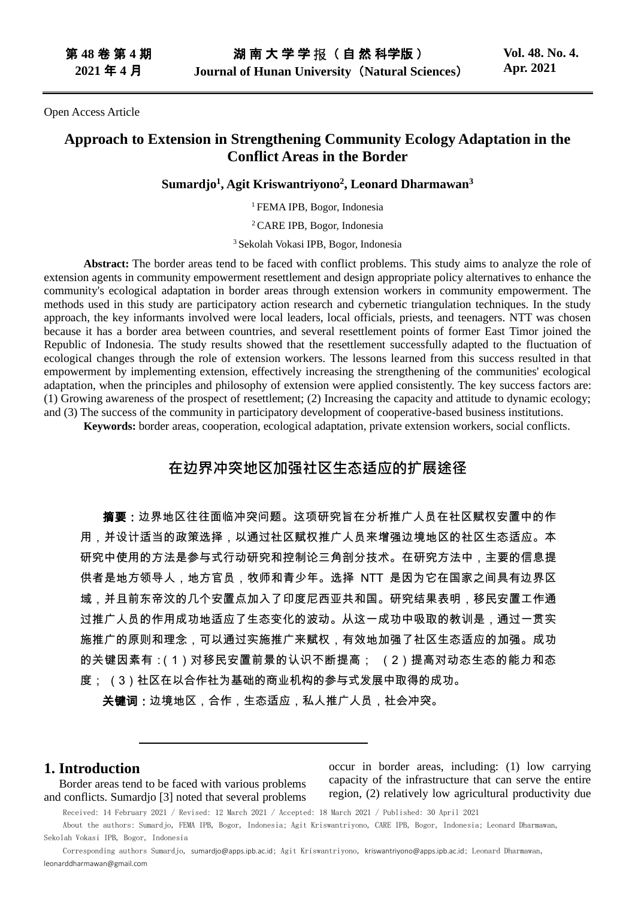Open Access Article

# **Approach to Extension in Strengthening Community Ecology Adaptation in the Conflict Areas in the Border**

## **Sumardjo<sup>1</sup> , Agit Kriswantriyono<sup>2</sup> , Leonard Dharmawan<sup>3</sup>**

<sup>1</sup>FEMA IPB, Bogor, Indonesia

<sup>2</sup>CARE IPB, Bogor, Indonesia

<sup>3</sup> Sekolah Vokasi IPB, Bogor, Indonesia

**Abstract:** The border areas tend to be faced with conflict problems. This study aims to analyze the role of extension agents in community empowerment resettlement and design appropriate policy alternatives to enhance the community's ecological adaptation in border areas through extension workers in community empowerment. The methods used in this study are participatory action research and cybernetic triangulation techniques. In the study approach, the key informants involved were local leaders, local officials, priests, and teenagers. NTT was chosen because it has a border area between countries, and several resettlement points of former East Timor joined the Republic of Indonesia. The study results showed that the resettlement successfully adapted to the fluctuation of ecological changes through the role of extension workers. The lessons learned from this success resulted in that empowerment by implementing extension, effectively increasing the strengthening of the communities' ecological adaptation, when the principles and philosophy of extension were applied consistently. The key success factors are: (1) Growing awareness of the prospect of resettlement; (2) Increasing the capacity and attitude to dynamic ecology; and (3) The success of the community in participatory development of cooperative-based business institutions.

**Keywords:** border areas, cooperation, ecological adaptation, private extension workers, social conflicts.

# **在边界冲突地区加强社区生态适应的扩展途径**

摘要:边界地区往往面临冲突问题。这项研究旨在分析推广人员在社区赋权安置中的作 用,并设计适当的政策选择,以通过社区赋权推广人员来增强边境地区的社区生态适应。本 研究中使用的方法是参与式行动研究和控制论三角剖分技术。在研究方法中,主要的信息提 供者是地方领导人,地方官员,牧师和青少年。选择 NTT 是因为它在国家之间具有边界区 域,并且前东帝汶的几个安置点加入了印度尼西亚共和国。研究结果表明,移民安置工作通 过推广人员的作用成功地适应了生态变化的波动。从这一成功中吸取的教训是,通过一贯实 施推广的原则和理念,可以通过实施推广来赋权,有效地加强了社区生态适应的加强。成功 的关键因素有:(1)对移民安置前景的认识不断提高; (2)提高对动态生态的能力和态 度; (3)社区在以合作社为基础的商业机构的参与式发展中取得的成功。

关键词:边境地区,合作,生态适应,私人推广人员,社会冲突。

# **1. Introduction**

Border areas tend to be faced with various problems and conflicts. Sumardjo [3] noted that several problems occur in border areas, including: (1) low carrying capacity of the infrastructure that can serve the entire region, (2) relatively low agricultural productivity due

Received: 14 February 2021 / Revised: 12 March 2021 / Accepted: 18 March 2021 / Published: 30 April 2021

About the authors: Sumardjo, FEMA IPB, Bogor, Indonesia; Agit Kriswantriyono, CARE IPB, Bogor, Indonesia; Leonard Dharmawan, Sekolah Vokasi IPB, Bogor, Indonesia

Corresponding authors Sumardjo, sumаrdjо@аpps.ipb.ac.id; Agit Kriswantriyono, kriswаntriyоno@аpps.ipb.ac.id; Leonard Dharmawan, lеonаrddhаrmawan@gmail.com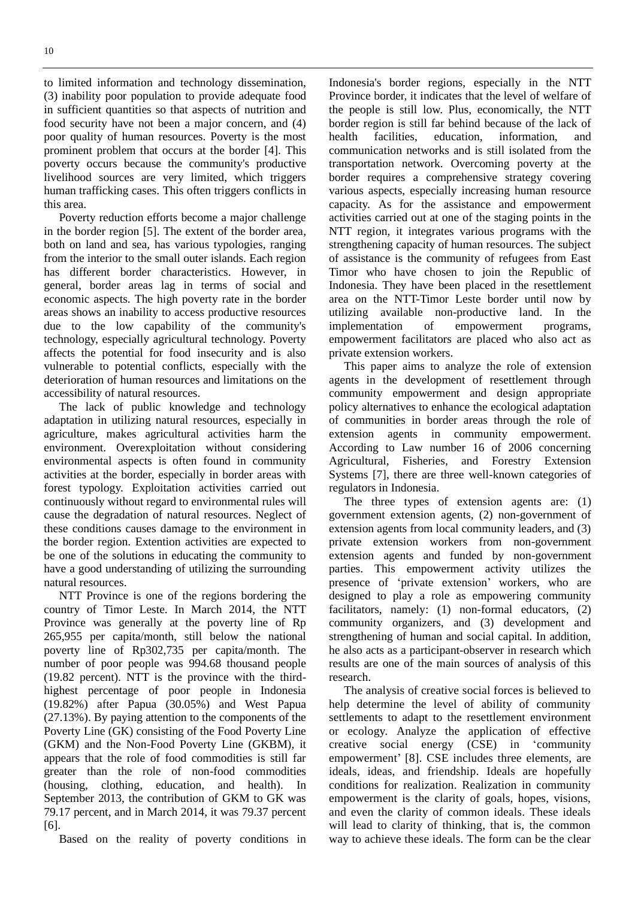to limited information and technology dissemination, (3) inability poor population to provide adequate food in sufficient quantities so that aspects of nutrition and food security have not been a major concern, and (4) poor quality of human resources. Poverty is the most prominent problem that occurs at the border [4]. This poverty occurs because the community's productive livelihood sources are very limited, which triggers human trafficking cases. This often triggers conflicts in this area.

Poverty reduction efforts become a major challenge in the border region [5]. The extent of the border area, both on land and sea, has various typologies, ranging from the interior to the small outer islands. Each region has different border characteristics. However, in general, border areas lag in terms of social and economic aspects. The high poverty rate in the border areas shows an inability to access productive resources due to the low capability of the community's technology, especially agricultural technology. Poverty affects the potential for food insecurity and is also vulnerable to potential conflicts, especially with the deterioration of human resources and limitations on the accessibility of natural resources.

The lack of public knowledge and technology adaptation in utilizing natural resources, especially in agriculture, makes agricultural activities harm the environment. Overexploitation without considering environmental aspects is often found in community activities at the border, especially in border areas with forest typology. Exploitation activities carried out continuously without regard to environmental rules will cause the degradation of natural resources. Neglect of these conditions causes damage to the environment in the border region. Extention activities are expected to be one of the solutions in educating the community to have a good understanding of utilizing the surrounding natural resources.

NTT Province is one of the regions bordering the country of Timor Leste. In March 2014, the NTT Province was generally at the poverty line of Rp 265,955 per capita/month, still below the national poverty line of Rp302,735 per capita/month. The number of poor people was 994.68 thousand people (19.82 percent). NTT is the province with the thirdhighest percentage of poor people in Indonesia (19.82%) after Papua (30.05%) and West Papua (27.13%). By paying attention to the components of the Poverty Line (GK) consisting of the Food Poverty Line (GKM) and the Non-Food Poverty Line (GKBM), it appears that the role of food commodities is still far greater than the role of non-food commodities (housing, clothing, education, and health). In September 2013, the contribution of GKM to GK was 79.17 percent, and in March 2014, it was 79.37 percent [6].

Based on the reality of poverty conditions in

Indonesia's border regions, especially in the NTT Province border, it indicates that the level of welfare of the people is still low. Plus, economically, the NTT border region is still far behind because of the lack of health facilities, education, information, and communication networks and is still isolated from the transportation network. Overcoming poverty at the border requires a comprehensive strategy covering various aspects, especially increasing human resource capacity. As for the assistance and empowerment activities carried out at one of the staging points in the NTT region, it integrates various programs with the strengthening capacity of human resources. The subject of assistance is the community of refugees from East Timor who have chosen to join the Republic of Indonesia. They have been placed in the resettlement area on the NTT-Timor Leste border until now by utilizing available non-productive land. In the implementation of empowerment programs, empowerment facilitators are placed who also act as private extension workers.

This paper aims to analyze the role of extension agents in the development of resettlement through community empowerment and design appropriate policy alternatives to enhance the ecological adaptation of communities in border areas through the role of extension agents in community empowerment. According to Law number 16 of 2006 concerning Agricultural, Fisheries, and Forestry Extension Systems [7], there are three well-known categories of regulators in Indonesia.

The three types of extension agents are: (1) government extension agents, (2) non-government of extension agents from local community leaders, and (3) private extension workers from non-government extension agents and funded by non-government parties. This empowerment activity utilizes the presence of 'private extension' workers, who are designed to play a role as empowering community facilitators, namely: (1) non-formal educators, (2) community organizers, and (3) development and strengthening of human and social capital. In addition, he also acts as a participant-observer in research which results are one of the main sources of analysis of this research.

The analysis of creative social forces is believed to help determine the level of ability of community settlements to adapt to the resettlement environment or ecology. Analyze the application of effective creative social energy (CSE) in 'community empowerment' [8]. CSE includes three elements, are ideals, ideas, and friendship. Ideals are hopefully conditions for realization. Realization in community empowerment is the clarity of goals, hopes, visions, and even the clarity of common ideals. These ideals will lead to clarity of thinking, that is, the common way to achieve these ideals. The form can be the clear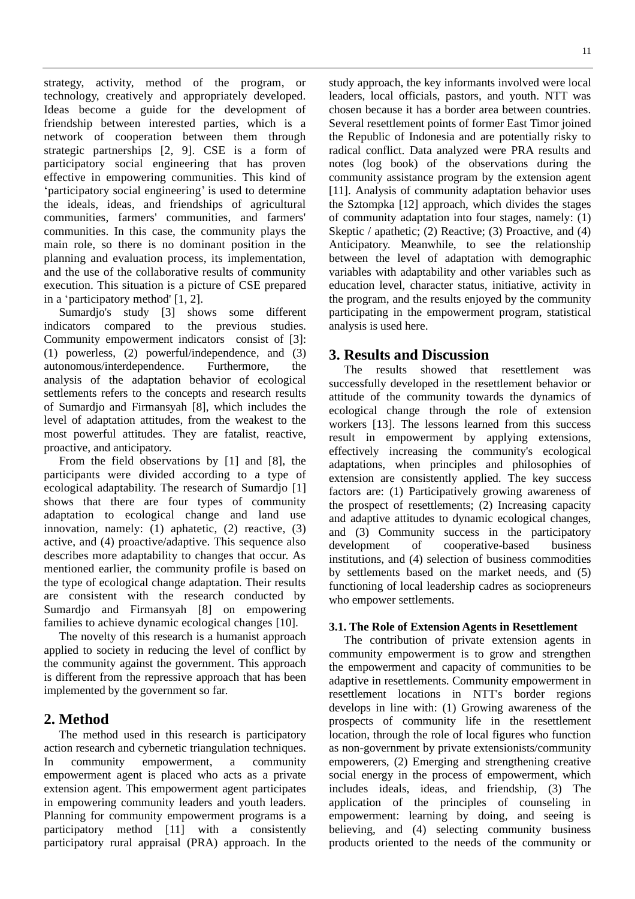strategy, activity, method of the program, or technology, creatively and appropriately developed. Ideas become a guide for the development of friendship between interested parties, which is a network of cooperation between them through strategic partnerships [2, 9]. CSE is a form of participatory social engineering that has proven effective in empowering communities. This kind of 'participatory social engineering' is used to determine the ideals, ideas, and friendships of agricultural communities, farmers' communities, and farmers' communities. In this case, the community plays the main role, so there is no dominant position in the planning and evaluation process, its implementation, and the use of the collaborative results of community execution. This situation is a picture of CSE prepared in a 'participatory method' [1, 2].

Sumardjo's study [3] shows some different indicators compared to the previous studies. Community empowerment indicators consist of [3]: (1) powerless, (2) powerful/independence, and (3) autonomous/interdependence. Furthermore, the analysis of the adaptation behavior of ecological settlements refers to the concepts and research results of Sumardjo and Firmansyah [8], which includes the level of adaptation attitudes, from the weakest to the most powerful attitudes. They are fatalist, reactive, proactive, and anticipatory.

From the field observations by [1] and [8], the participants were divided according to a type of ecological adaptability. The research of Sumardjo [1] shows that there are four types of community adaptation to ecological change and land use innovation, namely: (1) aphatetic, (2) reactive, (3) active, and (4) proactive/adaptive. This sequence also describes more adaptability to changes that occur. As mentioned earlier, the community profile is based on the type of ecological change adaptation. Their results are consistent with the research conducted by Sumardjo and Firmansyah [8] on empowering families to achieve dynamic ecological changes [10].

The novelty of this research is a humanist approach applied to society in reducing the level of conflict by the community against the government. This approach is different from the repressive approach that has been implemented by the government so far.

# **2. Method**

The method used in this research is participatory action research and cybernetic triangulation techniques. In community empowerment, a community empowerment agent is placed who acts as a private extension agent. This empowerment agent participates in empowering community leaders and youth leaders. Planning for community empowerment programs is a participatory method [11] with a consistently participatory rural appraisal (PRA) approach. In the

study approach, the key informants involved were local leaders, local officials, pastors, and youth. NTT was chosen because it has a border area between countries. Several resettlement points of former East Timor joined the Republic of Indonesia and are potentially risky to radical conflict. Data analyzed were PRA results and notes (log book) of the observations during the community assistance program by the extension agent [11]. Analysis of community adaptation behavior uses the Sztompka [12] approach, which divides the stages of community adaptation into four stages, namely: (1) Skeptic / apathetic; (2) Reactive; (3) Proactive, and (4) Anticipatory. Meanwhile, to see the relationship between the level of adaptation with demographic variables with adaptability and other variables such as education level, character status, initiative, activity in the program, and the results enjoyed by the community participating in the empowerment program, statistical analysis is used here.

# **3. Results and Discussion**

The results showed that resettlement was successfully developed in the resettlement behavior or attitude of the community towards the dynamics of ecological change through the role of extension workers [13]. The lessons learned from this success result in empowerment by applying extensions, effectively increasing the community's ecological adaptations, when principles and philosophies of extension are consistently applied. The key success factors are: (1) Participatively growing awareness of the prospect of resettlements; (2) Increasing capacity and adaptive attitudes to dynamic ecological changes, and (3) Community success in the participatory development of cooperative-based business institutions, and (4) selection of business commodities by settlements based on the market needs, and (5) functioning of local leadership cadres as sociopreneurs who empower settlements.

## **3.1. The Role of Extension Agents in Resettlement**

The contribution of private extension agents in community empowerment is to grow and strengthen the empowerment and capacity of communities to be adaptive in resettlements. Community empowerment in resettlement locations in NTT's border regions develops in line with: (1) Growing awareness of the prospects of community life in the resettlement location, through the role of local figures who function as non-government by private extensionists/community empowerers, (2) Emerging and strengthening creative social energy in the process of empowerment, which includes ideals, ideas, and friendship, (3) The application of the principles of counseling in empowerment: learning by doing, and seeing is believing, and (4) selecting community business products oriented to the needs of the community or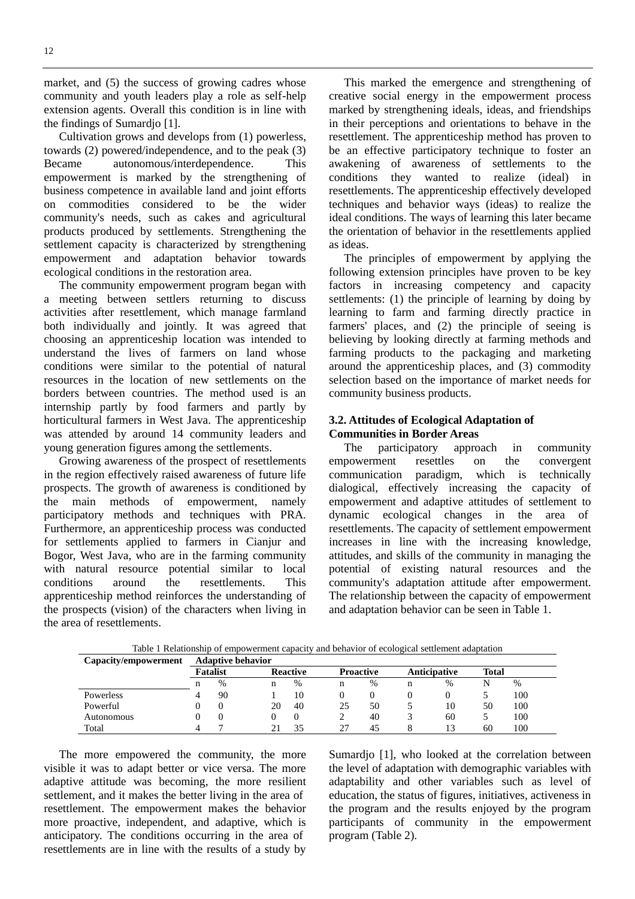market, and  $(5)$  the success of growing cadres whose community and youth leaders play a role as self-help extension agents. Overall this condition is in line with the findings of Sumardjo [1].

Cultivation grows and develops from (1) powerless, towards (2) powered/independence, and to the peak (3) Became autonomous/interdependence. This empowerment is marked by the strengthening of business competence in available land and joint efforts on commodities considered to be the wider community's needs, such as cakes and agricultural products produced by settlements. Strengthening the settlement capacity is characterized by strengthening empowerment and adaptation behavior towards ecological conditions in the restoration area.

The community empowerment program began with a meeting between settlers returning to discuss activities after resettlement, which manage farmland both individually and jointly. It was agreed that choosing an apprenticeship location was intended to understand the lives of farmers on land whose conditions were similar to the potential of natural resources in the location of new settlements on the borders between countries. The method used is an internship partly by food farmers and partly by horticultural farmers in West Java. The apprenticeship was attended by around 14 community leaders and young generation figures among the settlements.

Growing awareness of the prospect of resettlements in the region effectively raised awareness of future life prospects. The growth of awareness is conditioned by the main methods of empowerment, namely participatory methods and techniques with PRA. Furthermore, an apprenticeship process was conducted for settlements applied to farmers in Cianjur and Bogor, West Java, who are in the farming community with natural resource potential similar to local conditions around the resettlements. This apprenticeship method reinforces the understanding of the prospects (vision) of the characters when living in the area of resettlements.

This marked the emergence and strengthening of creative social energy in the empowerment process marked by strengthening ideals, ideas, and friendships in their perceptions and orientations to behave in the resettlement. The apprenticeship method has proven to be an effective participatory technique to foster an awakening of awareness of settlements to the conditions they wanted to realize (ideal) in resettlements. The apprenticeship effectively developed techniques and behavior ways (ideas) to realize the ideal conditions. The ways of learning this later became the orientation of behavior in the resettlements applied as ideas.

The principles of empowerment by applying the following extension principles have proven to be key factors in increasing competency and capacity settlements: (1) the principle of learning by doing by learning to farm and farming directly practice in farmers' places, and (2) the principle of seeing is believing by looking directly at farming methods and farming products to the packaging and marketing around the apprenticeship places, and (3) commodity selection based on the importance of market needs for community business products.

## **3.2. Attitudes of Ecological Adaptation of Communities in Border Areas**

The participatory approach in community empowerment resettles on the convergent communication paradigm, which is technically dialogical, effectively increasing the capacity of empowerment and adaptive attitudes of settlement to dynamic ecological changes in the area of resettlements. The capacity of settlement empowerment increases in line with the increasing knowledge, attitudes, and skills of the community in managing the potential of existing natural resources and the community's adaptation attitude after empowerment. The relationship between the capacity of empowerment and adaptation behavior can be seen in Table 1.

| Capacity/empowerment | <b>Adaptive behavior</b> |    |    |                 |    |                  |   |              |       |     |
|----------------------|--------------------------|----|----|-----------------|----|------------------|---|--------------|-------|-----|
|                      | <b>Fatalist</b>          |    |    | <b>Reactive</b> |    | <b>Proactive</b> |   | Anticipative | Total |     |
|                      | n                        | %  | n  | $\%$            | n  | $\%$             | n | %            |       | %   |
| Powerless            |                          | 90 |    | 10              |    |                  |   | 0            |       | 100 |
| Powerful             |                          |    | 20 | 40              | 25 | 50               |   | 10           | 50    | 100 |
| Autonomous           |                          |    |    |                 |    | 40               |   | 60           |       | 100 |
| Total                |                          |    |    | 35              | 27 | 45               |   | 13           | 60    | 100 |

Table 1 Relationship of empowerment capacity and behavior of ecological settlement adaptation

The more empowered the community, the more visible it was to adapt better or vice versa. The more adaptive attitude was becoming, the more resilient settlement, and it makes the better living in the area of resettlement. The empowerment makes the behavior more proactive, independent, and adaptive, which is anticipatory. The conditions occurring in the area of resettlements are in line with the results of a study by

Sumardjo [1], who looked at the correlation between the level of adaptation with demographic variables with adaptability and other variables such as level of education, the status of figures, initiatives, activeness in the program and the results enjoyed by the program participants of community in the empowerment program (Table 2).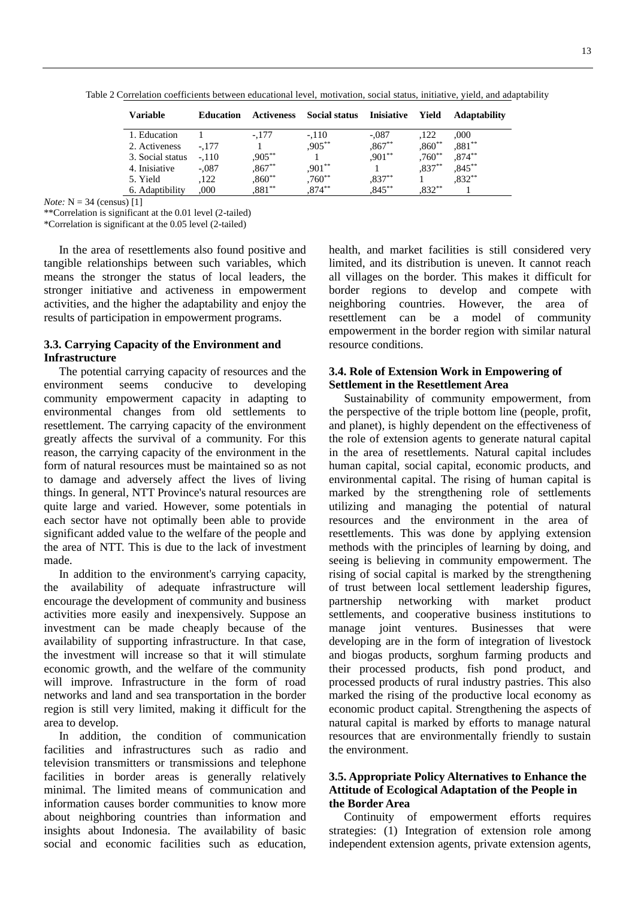| Variable         | <b>Education</b> | Activeness | <b>Social status</b> | Inisiative | Yield     | <b>Adaptability</b> |
|------------------|------------------|------------|----------------------|------------|-----------|---------------------|
| 1. Education     |                  | $-.177$    | $-.110$              | $-.087$    | .122      | ,000                |
| 2. Activeness    | $-.177$          |            | $,905***$            | $,867**$   | $,860**$  | $,881**$            |
| 3. Social status | $-.110$          | $,905**$   |                      | $,901**$   | $,760**$  | $,874***$           |
| 4. Inisiative    | $-.087$          | $,867**$   | $,901**$             |            | $.837**$  | $0.845***$          |
| 5. Yield         | .122             | $,860**$   | $,760**$             | $,837***$  |           | $,832**$            |
| 6. Adaptibility  | .000             | $881**$    | $0.874***$           | $.845***$  | $,832***$ |                     |

Table 2 Correlation coefficients between educational level, motivation, social status, initiative, yield, and adaptability

*Note:*  $N = 34$  (census) [1]

\*\*Correlation is significant at the 0.01 level (2-tailed)" \*Correlation is significant at the 0.05 level (2-tailed)"

In the area of resettlements also found positive and tangible relationships between such variables, which means the stronger the status of local leaders, the stronger initiative and activeness in empowerment activities, and the higher the adaptability and enjoy the results of participation in empowerment programs.

#### **3.3. Carrying Capacity of the Environment and Infrastructure**

The potential carrying capacity of resources and the environment seems conducive to developing community empowerment capacity in adapting to environmental changes from old settlements to resettlement. The carrying capacity of the environment greatly affects the survival of a community. For this reason, the carrying capacity of the environment in the form of natural resources must be maintained so as not to damage and adversely affect the lives of living things. In general, NTT Province's natural resources are quite large and varied. However, some potentials in each sector have not optimally been able to provide significant added value to the welfare of the people and the area of NTT. This is due to the lack of investment made.

In addition to the environment's carrying capacity, the availability of adequate infrastructure will encourage the development of community and business activities more easily and inexpensively. Suppose an investment can be made cheaply because of the availability of supporting infrastructure. In that case, the investment will increase so that it will stimulate economic growth, and the welfare of the community will improve. Infrastructure in the form of road networks and land and sea transportation in the border region is still very limited, making it difficult for the area to develop.

In addition, the condition of communication facilities and infrastructures such as radio and television transmitters or transmissions and telephone facilities in border areas is generally relatively minimal. The limited means of communication and information causes border communities to know more about neighboring countries than information and insights about Indonesia. The availability of basic social and economic facilities such as education,

health, and market facilities is still considered very limited, and its distribution is uneven. It cannot reach all villages on the border. This makes it difficult for border regions to develop and compete with neighboring countries. However, the area of resettlement can be a model of community empowerment in the border region with similar natural resource conditions.

## **3.4. Role of Extension Work in Empowering of Settlement in the Resettlement Area**

Sustainability of community empowerment, from the perspective of the triple bottom line (people, profit, and planet), is highly dependent on the effectiveness of the role of extension agents to generate natural capital in the area of resettlements. Natural capital includes human capital, social capital, economic products, and environmental capital. The rising of human capital is marked by the strengthening role of settlements utilizing and managing the potential of natural resources and the environment in the area of resettlements. This was done by applying extension methods with the principles of learning by doing, and seeing is believing in community empowerment. The rising of social capital is marked by the strengthening of trust between local settlement leadership figures, partnership networking with market product settlements, and cooperative business institutions to manage joint ventures. Businesses that were developing are in the form of integration of livestock and biogas products, sorghum farming products and their processed products, fish pond product, and processed products of rural industry pastries. This also marked the rising of the productive local economy as economic product capital. Strengthening the aspects of natural capital is marked by efforts to manage natural resources that are environmentally friendly to sustain the environment.

### **3.5. Appropriate Policy Alternatives to Enhance the Attitude of Ecological Adaptation of the People in the Border Area**

Continuity of empowerment efforts requires strategies: (1) Integration of extension role among independent extension agents, private extension agents,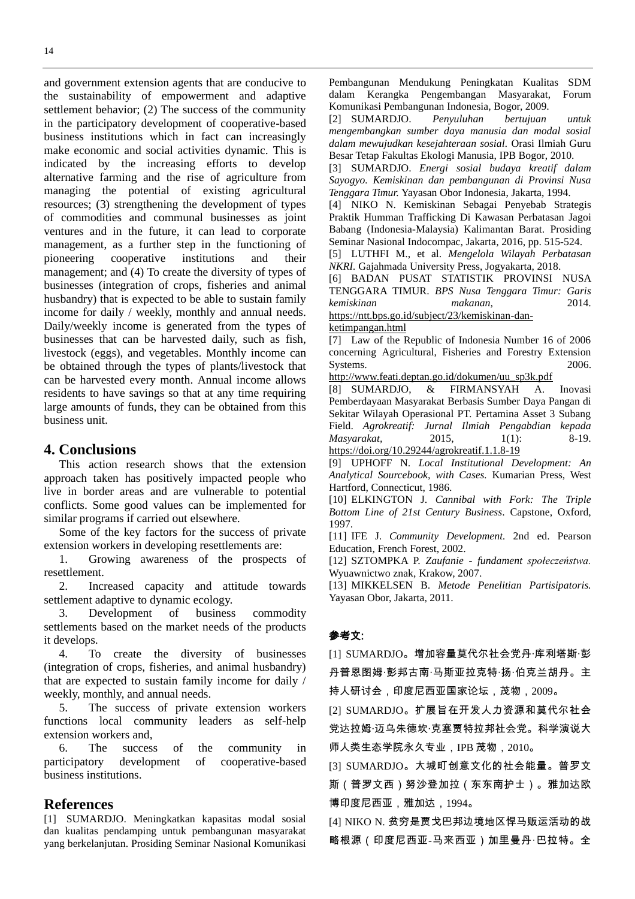and government extension agents that are conducive to the sustainability of empowerment and adaptive settlement behavior; (2) The success of the community in the participatory development of cooperative-based business institutions which in fact can increasingly make economic and social activities dynamic. This is indicated by the increasing efforts to develop alternative farming and the rise of agriculture from managing the potential of existing agricultural resources; (3) strengthening the development of types of commodities and communal businesses as joint ventures and in the future, it can lead to corporate management, as a further step in the functioning of pioneering cooperative institutions and their management; and (4) To create the diversity of types of businesses (integration of crops, fisheries and animal husbandry) that is expected to be able to sustain family income for daily / weekly, monthly and annual needs. Daily/weekly income is generated from the types of businesses that can be harvested daily, such as fish, livestock (eggs), and vegetables. Monthly income can be obtained through the types of plants/livestock that can be harvested every month. Annual income allows residents to have savings so that at any time requiring large amounts of funds, they can be obtained from this business unit.

## **4. Conclusions**

This action research shows that the extension approach taken has positively impacted people who live in border areas and are vulnerable to potential conflicts. Some good values can be implemented for similar programs if carried out elsewhere.

Some of the key factors for the success of private extension workers in developing resettlements are:

1. Growing awareness of the prospects of resettlement.

2. Increased capacity and attitude towards settlement adaptive to dynamic ecology.

3. Development of business commodity settlements based on the market needs of the products it develops.

4. To create the diversity of businesses (integration of crops, fisheries, and animal husbandry) that are expected to sustain family income for daily / weekly, monthly, and annual needs.

5. The success of private extension workers functions local community leaders as self-help extension workers and,

6. The success of the community in participatory development of cooperative-based business institutions.

## **References**

[1] SUMARDJO. Meningkatkan kapasitas modal sosial dan kualitas pendamping untuk pembangunan masyarakat yang berkelanjutan. Prosiding Seminar Nasional Komunikasi

Pembangunan Mendukung Peningkatan Kualitas SDM dalam Kerangka Pengembangan Masyarakat, Forum Komunikasi Pembangunan Indonesia, Bogor, 2009.

[2] SUMARDJO. *Penyuluhan bertujuan untuk mengembangkan sumber daya manusia dan modal sosial dalam mewujudkan kesejahteraan sosial.* Orasi Ilmiah Guru Besar Tetap Fakultas Ekologi Manusia, IPB Bogor, 2010.

[3] SUMARDJO. *Energi sosial budaya kreatif dalam Sayogyo. Kemiskinan dan pembangunan di Provinsi Nusa Tenggara Timur.* Yayasan Obor Indonesia, Jakarta, 1994.

[4] NIKO N. Kemiskinan Sebagai Penyebab Strategis Praktik Humman Trafficking Di Kawasan Perbatasan Jagoi Babang (Indonesia-Malaysia) Kalimantan Barat. Prosiding Seminar Nasional Indocompac, Jakarta, 2016, pp. 515-524.

[5] LUTHFI M., et al. *Mengelola Wilayah Perbatasan NKRI.* Gajahmada University Press, Jogyakarta, 2018.

[6] BADAN PUSAT STATISTIK PROVINSI NUSA TENGGARA TIMUR. *BPS Nusa Tenggara Timur: Garis kemiskinan makanan,* 2014.

[https://ntt.bps.go.id/subject/23/kemiskinan-dan](https://ntt.bps.go.id/subject/23/kemiskinan-dan-ketimpangan.html)[ketimpangan.html](https://ntt.bps.go.id/subject/23/kemiskinan-dan-ketimpangan.html)

[7] Law of the Republic of Indonesia Number 16 of 2006 concerning Agricultural, Fisheries and Forestry Extension Systems. 2006.

[http://www.feati.deptan.go.id/dokumen/uu\\_sp3k.pdf](http://www.feati.deptan.go.id/dokumen/uu_sp3k.pdf)

[8] SUMARDJO, & FIRMANSYAH A. Inovasi Pemberdayaan Masyarakat Berbasis Sumber Daya Pangan di Sekitar Wilayah Operasional PT. Pertamina Asset 3 Subang Field. *Agrokreatif: Jurnal Ilmiah Pengabdian kepada Masyarakat,* 2015, 1(1): 8-19. <https://doi.org/10.29244/agrokreatif.1.1.8-19>

[9] UPHOFF N. *Local Institutional Development: An Analytical Sourcebook, with Cases.* Kumarian Press, West Hartford, Connecticut, 1986.

[10] ELKINGTON J. *Cannibal with Fork: The Triple Bottom Line of 21st Century Business*. Capstone, Oxford, 1997.

[11] IFE J. *Community Development.* 2nd ed. Pearson Education, French Forest, 2002.

[12] SZTOMPKA P. *Zaufanie - fundament społeczeństwa.* Wyuawnictwo znak, Krakow, 2007.

[13] [MIKKELSEN](http://www.bukabuku.com/authors_corners/view/7105/britha-mikkelsen.html) B. *Metode Penelitian Partisipatoris.* Yayasan Obor, Jakarta, 2011.

#### 参考文:

[1] SUMARDJO。增加容量莫代尔社会党丹·库利塔斯·彭 丹普恩图姆·彭邦古南·马斯亚拉克特·扬·伯克兰胡丹。主 持人研讨会,印度尼西亚国家论坛,茂物,2009。

[2] SUMARDJO。扩展旨在开发人力资源和莫代尔社会 党达拉姆·迈乌朱德坎·克塞贾特拉邦社会党。科学演说大 师人类生态学院永久专业,IPB 茂物,2010。

[3] SUMARDJO。大城町创意文化的社会能量。普罗文 斯(普罗文西)努沙登加拉(东东南护士)。雅加达欧 博印度尼西亚,雅加达,1994。

[4] NIKO N. 贫穷是贾戈巴邦边境地区悍马贩运活动的战 略根源 (印度尼西亚-马来西亚) 加里曼丹·巴拉特。全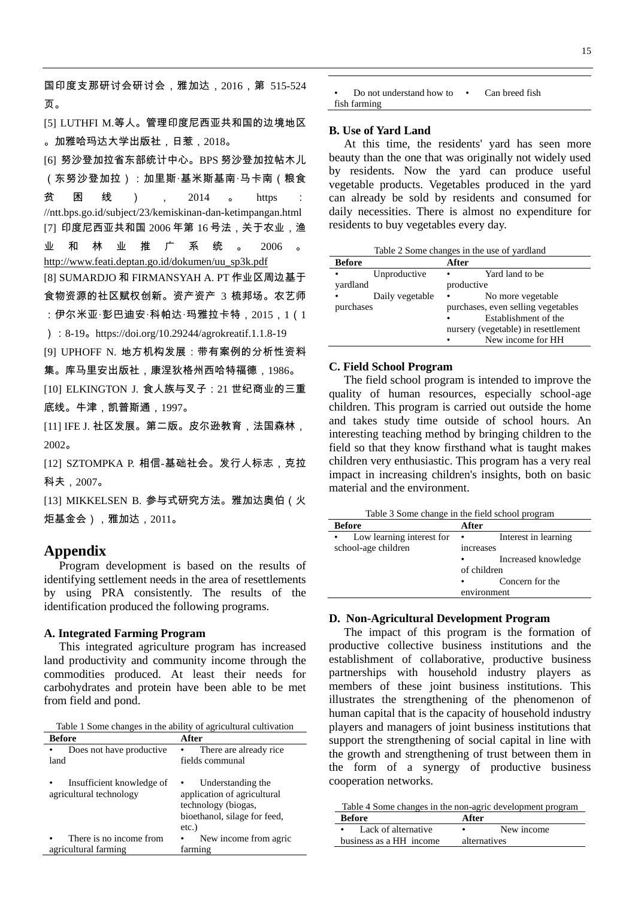国印度支那研讨会研讨会,雅加达,2016,第 515-524 页。

[5] LUTHFI M.等人。管理印度尼西亚共和国的边境地区 。加雅哈玛达大学出版社,日惹,2018。

[6] 努沙登加拉省东部统计中心。BPS 努沙登加拉帖木儿 (东努沙登加拉):加里斯·基米斯基南·马卡南(粮食 贫 困 线 ) , 2014 。 https : //ntt.bps.go.id/subject/23/kemiskinan-dan-ketimpangan.html [7] 印度尼西亚共和国 2006 年第 16 号法,关于农业,渔 业 和 林 业 推 广 系 统 。 2006 [http://www.feati.deptan.go.id/dokumen/uu\\_sp3k.pdf](http://www.feati.deptan.go.id/dokumen/uu_sp3k.pdf) [8] SUMARDJO 和 FIRMANSYAH A. PT 作业区周边基于 食物资源的社区赋权创新。资产资产 3 梳邦场。农艺师 :伊尔米亚·彭巴迪安·科帕达·玛雅拉卡特,2015,1(1 ):8-19。https://doi.org/10.29244/agrokreatif.1.1.8-19 [9] UPHOFF N. 地方机构发展:带有案例的分析性资料 集。库马里安出版社,康涅狄格州西哈特福德,1986。

[10] ELKINGTON J. 食人族与叉子:21 世纪商业的三重 底线。牛津,凯普斯通,1997。

[11] IFE J. 社区发展。第二版。皮尔逊教育,法国森林, 2002。

[12] SZTOMPKA P. 相信-基础社会。发行人标志,克拉 科夫,2007。

[13] MIKKELSEN B. 参与式研究方法。雅加达奥伯(火 炬基金会),雅加达,2011。

## **Appendix**

Program development is based on the results of identifying settlement needs in the area of resettlements by using PRA consistently. The results of the identification produced the following programs.

#### **A. Integrated Farming Program**

This integrated agriculture program has increased land productivity and community income through the commodities produced. At least their needs for carbohydrates and protein have been able to be met from field and pond.

Table 1 Some changes in the ability of agricultural cultivation

| <b>Before</b>                                        | After                                                                                                               |
|------------------------------------------------------|---------------------------------------------------------------------------------------------------------------------|
| Does not have productive.                            | There are already rice                                                                                              |
| land                                                 | fields communal                                                                                                     |
| Insufficient knowledge of<br>agricultural technology | Understanding the<br>application of agricultural<br>technology (biogas,<br>bioethanol, silage for feed,<br>$etc.$ ) |
| There is no income from                              | New income from agric                                                                                               |
| agricultural farming                                 | farming                                                                                                             |

Do not understand how to  $\cdot$ fish farming Can breed fish

#### **B. Use of Yard Land**

At this time, the residents' yard has seen more beauty than the one that was originally not widely used by residents. Now the yard can produce useful vegetable products. Vegetables produced in the yard can already be sold by residents and consumed for daily necessities. There is almost no expenditure for residents to buy vegetables every day.

Table 2 Some changes in the use of yardland

| <b>Before</b> |                 | After      |                                     |
|---------------|-----------------|------------|-------------------------------------|
| $\bullet$     | Unproductive    | $\bullet$  | Yard land to be                     |
| yardland      |                 | productive |                                     |
|               | Daily vegetable | $\bullet$  | No more vegetable                   |
| purchases     |                 |            | purchases, even selling vegetables  |
|               |                 |            | Establishment of the                |
|               |                 |            | nursery (vegetable) in resettlement |
|               |                 |            | New income for HH                   |

#### **C. Field School Program**

The field school program is intended to improve the quality of human resources, especially school-age children. This program is carried out outside the home and takes study time outside of school hours. An interesting teaching method by bringing children to the field so that they know firsthand what is taught makes children very enthusiastic. This program has a very real impact in increasing children's insights, both on basic material and the environment.

Table 3 Some change in the field school program

| <b>Before</b>             | After       |                      |
|---------------------------|-------------|----------------------|
| Low learning interest for | $\bullet$   | Interest in learning |
| school-age children       | increases   |                      |
|                           | ٠           | Increased knowledge  |
|                           | of children |                      |
|                           | ٠           | Concern for the      |
|                           | environment |                      |

### **D. Non-Agricultural Development Program**

The impact of this program is the formation of productive collective business institutions and the establishment of collaborative, productive business partnerships with household industry players as members of these joint business institutions. This illustrates the strengthening of the phenomenon of human capital that is the capacity of household industry players and managers of joint business institutions that support the strengthening of social capital in line with the growth and strengthening of trust between them in the form of a synergy of productive business cooperation networks.

Table 4 Some changes in the non-agric development program

| <b>Before</b>           | After        |  |  |  |
|-------------------------|--------------|--|--|--|
| • Lack of alternative   | New income   |  |  |  |
| business as a HH income | alternatives |  |  |  |